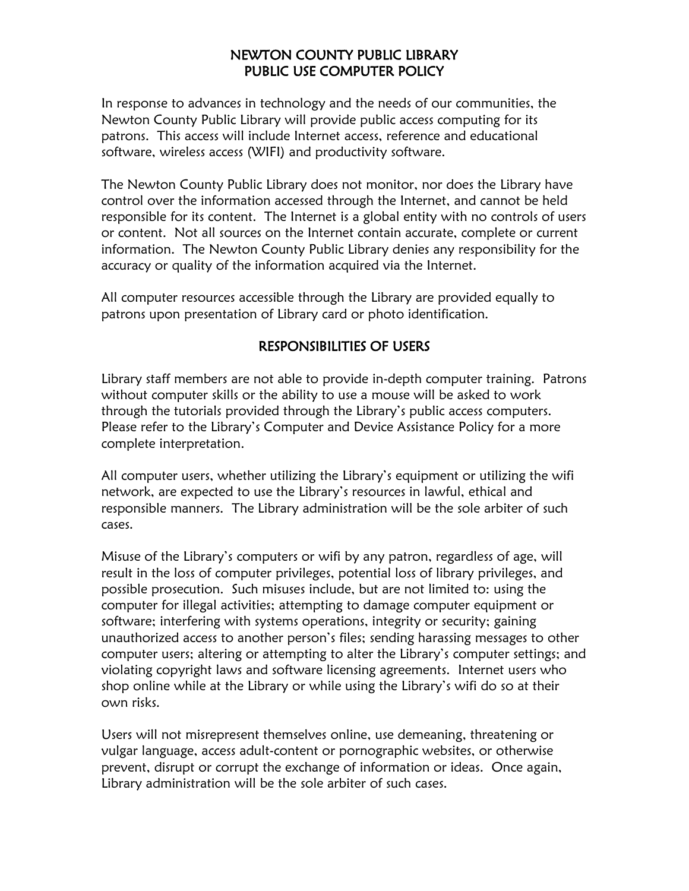## NEWTON COUNTY PUBLIC LIBRARY PUBLIC USE COMPUTER POLICY

In response to advances in technology and the needs of our communities, the Newton County Public Library will provide public access computing for its patrons. This access will include Internet access, reference and educational software, wireless access (WIFI) and productivity software.

The Newton County Public Library does not monitor, nor does the Library have control over the information accessed through the Internet, and cannot be held responsible for its content. The Internet is a global entity with no controls of users or content. Not all sources on the Internet contain accurate, complete or current information. The Newton County Public Library denies any responsibility for the accuracy or quality of the information acquired via the Internet.

All computer resources accessible through the Library are provided equally to patrons upon presentation of Library card or photo identification.

# RESPONSIBILITIES OF USERS

Library staff members are not able to provide in-depth computer training. Patrons without computer skills or the ability to use a mouse will be asked to work through the tutorials provided through the Library's public access computers. Please refer to the Library's Computer and Device Assistance Policy for a more complete interpretation.

All computer users, whether utilizing the Library's equipment or utilizing the wifi network, are expected to use the Library's resources in lawful, ethical and responsible manners. The Library administration will be the sole arbiter of such cases.

Misuse of the Library's computers or wifi by any patron, regardless of age, will result in the loss of computer privileges, potential loss of library privileges, and possible prosecution. Such misuses include, but are not limited to: using the computer for illegal activities; attempting to damage computer equipment or software; interfering with systems operations, integrity or security; gaining unauthorized access to another person's files; sending harassing messages to other computer users; altering or attempting to alter the Library's computer settings; and violating copyright laws and software licensing agreements. Internet users who shop online while at the Library or while using the Library's wifi do so at their own risks.

Users will not misrepresent themselves online, use demeaning, threatening or vulgar language, access adult-content or pornographic websites, or otherwise prevent, disrupt or corrupt the exchange of information or ideas. Once again, Library administration will be the sole arbiter of such cases.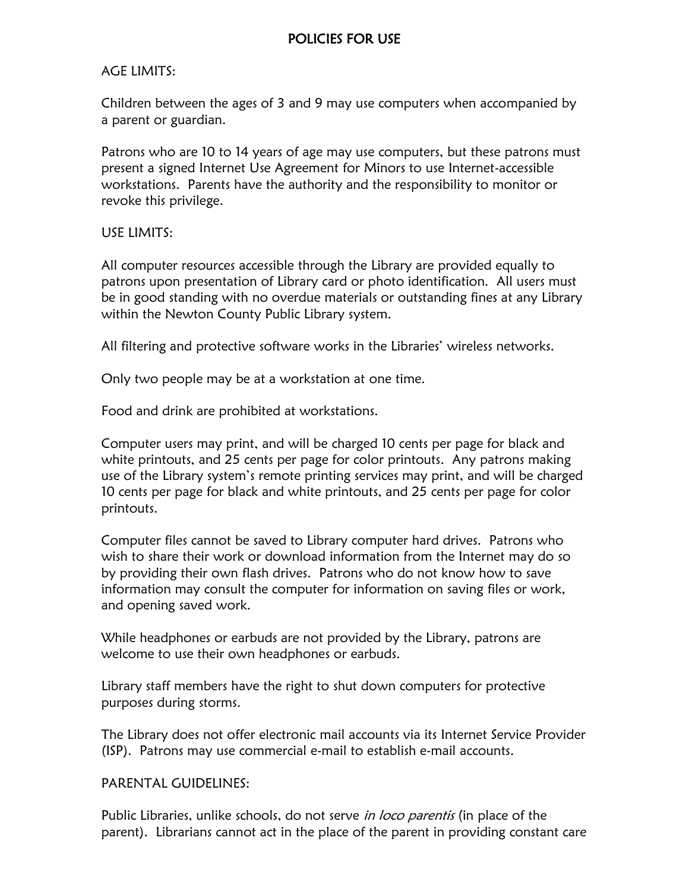#### AGE LIMITS:

Children between the ages of 3 and 9 may use computers when accompanied by a parent or guardian.

Patrons who are 10 to 14 years of age may use computers, but these patrons must present a signed Internet Use Agreement for Minors to use Internet-accessible workstations. Parents have the authority and the responsibility to monitor or revoke this privilege.

### USE LIMITS:

All computer resources accessible through the Library are provided equally to patrons upon presentation of Library card or photo identification. All users must be in good standing with no overdue materials or outstanding fines at any Library within the Newton County Public Library system.

All filtering and protective software works in the Libraries' wireless networks.

Only two people may be at a workstation at one time.

Food and drink are prohibited at workstations.

Computer users may print, and will be charged 10 cents per page for black and white printouts, and 25 cents per page for color printouts. Any patrons making use of the Library system's remote printing services may print, and will be charged 10 cents per page for black and white printouts, and 25 cents per page for color printouts.

Computer files cannot be saved to Library computer hard drives. Patrons who wish to share their work or download information from the Internet may do so by providing their own flash drives. Patrons who do not know how to save information may consult the computer for information on saving files or work, and opening saved work.

While headphones or earbuds are not provided by the Library, patrons are welcome to use their own headphones or earbuds.

Library staff members have the right to shut down computers for protective purposes during storms.

The Library does not offer electronic mail accounts via its Internet Service Provider (ISP). Patrons may use commercial e-mail to establish e-mail accounts.

#### PARENTAL GUIDELINES:

Public Libraries, unlike schools, do not serve in loco parentis (in place of the parent). Librarians cannot act in the place of the parent in providing constant care